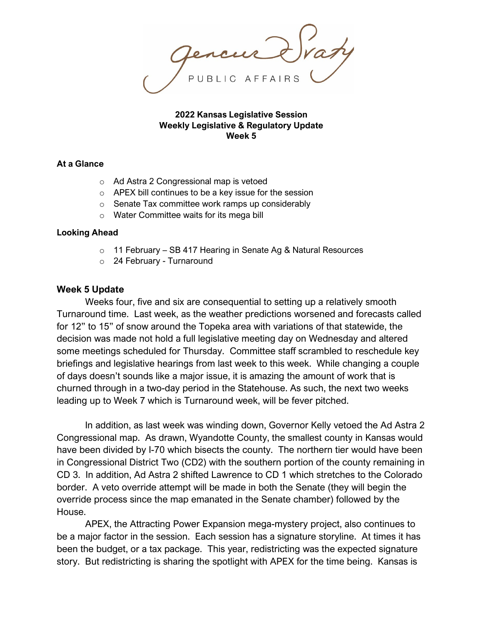**2022 Kansas Legislative Session Weekly Legislative & Regulatory Update Week 5**

### **At a Glance**

- o Ad Astra 2 Congressional map is vetoed
- o APEX bill continues to be a key issue for the session
- o Senate Tax committee work ramps up considerably
- o Water Committee waits for its mega bill

### **Looking Ahead**

- o 11 February SB 417 Hearing in Senate Ag & Natural Resources
- o 24 February Turnaround

## **Week 5 Update**

Weeks four, five and six are consequential to setting up a relatively smooth Turnaround time. Last week, as the weather predictions worsened and forecasts called for 12" to 15" of snow around the Topeka area with variations of that statewide, the decision was made not hold a full legislative meeting day on Wednesday and altered some meetings scheduled for Thursday. Committee staff scrambled to reschedule key briefings and legislative hearings from last week to this week. While changing a couple of days doesn't sounds like a major issue, it is amazing the amount of work that is churned through in a two-day period in the Statehouse. As such, the next two weeks leading up to Week 7 which is Turnaround week, will be fever pitched.

In addition, as last week was winding down, Governor Kelly vetoed the Ad Astra 2 Congressional map. As drawn, Wyandotte County, the smallest county in Kansas would have been divided by I-70 which bisects the county. The northern tier would have been in Congressional District Two (CD2) with the southern portion of the county remaining in CD 3. In addition, Ad Astra 2 shifted Lawrence to CD 1 which stretches to the Colorado border. A veto override attempt will be made in both the Senate (they will begin the override process since the map emanated in the Senate chamber) followed by the House.

APEX, the Attracting Power Expansion mega-mystery project, also continues to be a major factor in the session. Each session has a signature storyline. At times it has been the budget, or a tax package. This year, redistricting was the expected signature story. But redistricting is sharing the spotlight with APEX for the time being. Kansas is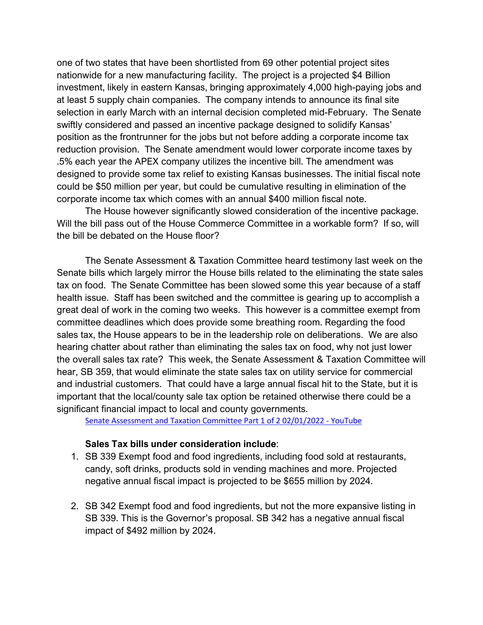one of two states that have been shortlisted from 69 other potential project sites nationwide for a new manufacturing facility. The project is a projected \$4 Billion investment, likely in eastern Kansas, bringing approximately 4,000 high-paying jobs and at least 5 supply chain companies. The company intends to announce its final site selection in early March with an internal decision completed mid-February. The Senate swiftly considered and passed an incentive package designed to solidify Kansas' position as the frontrunner for the jobs but not before adding a corporate income tax reduction provision. The Senate amendment would lower corporate income taxes by .5% each year the APEX company utilizes the incentive bill. The amendment was designed to provide some tax relief to existing Kansas businesses. The initial fiscal note could be \$50 million per year, but could be cumulative resulting in elimination of the corporate income tax which comes with an annual \$400 million fiscal note.

The House however significantly slowed consideration of the incentive package. Will the bill pass out of the House Commerce Committee in a workable form? If so, will the bill be debated on the House floor?

The Senate Assessment & Taxation Committee heard testimony last week on the Senate bills which largely mirror the House bills related to the eliminating the state sales tax on food. The Senate Committee has been slowed some this year because of a staff health issue. Staff has been switched and the committee is gearing up to accomplish a great deal of work in the coming two weeks. This however is a committee exempt from committee deadlines which does provide some breathing room. Regarding the food sales tax, the House appears to be in the leadership role on deliberations. We are also hearing chatter about rather than eliminating the sales tax on food, why not just lower the overall sales tax rate? This week, the Senate Assessment & Taxation Committee will hear, SB 359, that would eliminate the state sales tax on utility service for commercial and industrial customers. That could have a large annual fiscal hit to the State, but it is important that the local/county sale tax option be retained otherwise there could be a significant financial impact to local and county governments.

[Senate Assessment and Taxation Committee Part 1 of 2 02/01/2022 -](https://www.youtube.com/watch?v=VMIogDtNp14) YouTube

# **Sales Tax bills under consideration include**:

- 1. SB 339 Exempt food and food ingredients, including food sold at restaurants, candy, soft drinks, products sold in vending machines and more. Projected negative annual fiscal impact is projected to be \$655 million by 2024.
- 2. SB 342 Exempt food and food ingredients, but not the more expansive listing in SB 339. This is the Governor's proposal. SB 342 has a negative annual fiscal impact of \$492 million by 2024.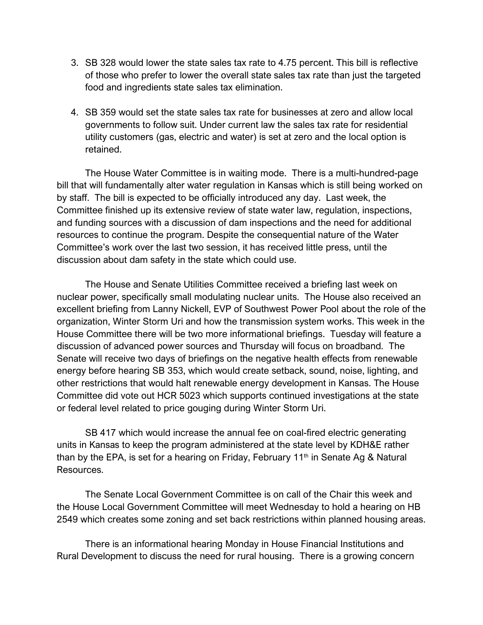- 3. SB 328 would lower the state sales tax rate to 4.75 percent. This bill is reflective of those who prefer to lower the overall state sales tax rate than just the targeted food and ingredients state sales tax elimination.
- 4. SB 359 would set the state sales tax rate for businesses at zero and allow local governments to follow suit. Under current law the sales tax rate for residential utility customers (gas, electric and water) is set at zero and the local option is retained.

The House Water Committee is in waiting mode. There is a multi-hundred-page bill that will fundamentally alter water regulation in Kansas which is still being worked on by staff. The bill is expected to be officially introduced any day. Last week, the Committee finished up its extensive review of state water law, regulation, inspections, and funding sources with a discussion of dam inspections and the need for additional resources to continue the program. Despite the consequential nature of the Water Committee's work over the last two session, it has received little press, until the discussion about dam safety in the state which could use.

The House and Senate Utilities Committee received a briefing last week on nuclear power, specifically small modulating nuclear units. The House also received an excellent briefing from Lanny Nickell, EVP of Southwest Power Pool about the role of the organization, Winter Storm Uri and how the transmission system works. This week in the House Committee there will be two more informational briefings. Tuesday will feature a discussion of advanced power sources and Thursday will focus on broadband. The Senate will receive two days of briefings on the negative health effects from renewable energy before hearing SB 353, which would create setback, sound, noise, lighting, and other restrictions that would halt renewable energy development in Kansas. The House Committee did vote out HCR 5023 which supports continued investigations at the state or federal level related to price gouging during Winter Storm Uri.

SB 417 which would increase the annual fee on coal-fired electric generating units in Kansas to keep the program administered at the state level by KDH&E rather than by the EPA, is set for a hearing on Friday, February 11<sup>th</sup> in Senate Ag & Natural Resources.

The Senate Local Government Committee is on call of the Chair this week and the House Local Government Committee will meet Wednesday to hold a hearing on HB 2549 which creates some zoning and set back restrictions within planned housing areas.

There is an informational hearing Monday in House Financial Institutions and Rural Development to discuss the need for rural housing. There is a growing concern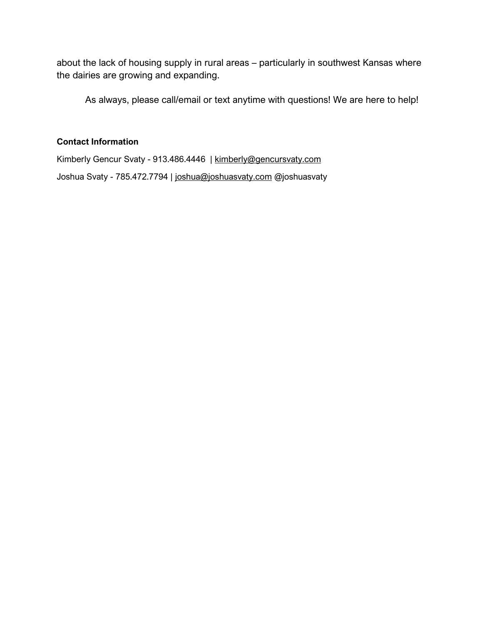about the lack of housing supply in rural areas – particularly in southwest Kansas where the dairies are growing and expanding.

As always, please call/email or text anytime with questions! We are here to help!

# **Contact Information**

Kimberly Gencur Svaty - 913.486.4446 | [kimberly@gencursvaty.com](mailto:kimberly@gencursvaty.com) Joshua Svaty - 785.472.7794 | [joshua@joshuasvaty.com](mailto:joshua@joshuasvaty.com) @joshuasvaty